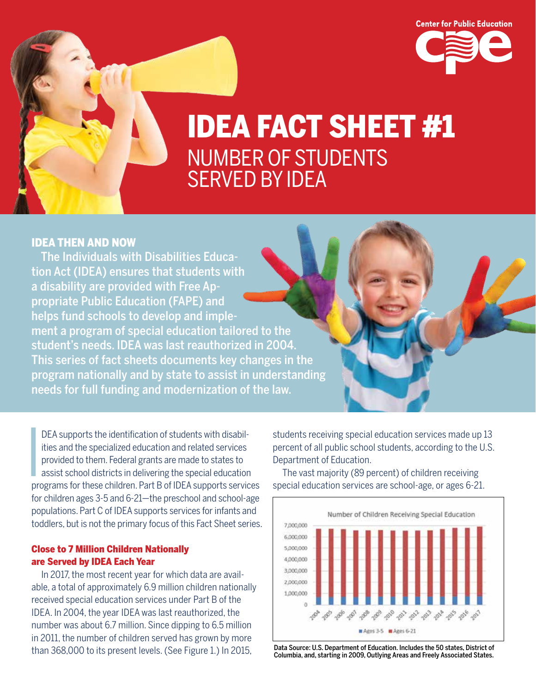

# IDEA FACT SHEET #1 NUMBER OF STUDENTS SERVED BY IDEA

# IDEA THEN AND NOW

The Individuals with Disabilities Education Act (IDEA) ensures that students with a disability are provided with Free Appropriate Public Education (FAPE) and helps fund schools to develop and implement a program of special education tailored to the student's needs. IDEA was last reauthorized in 2004. This series of fact sheets documents key changes in the program nationally and by state to assist in understanding needs for full funding and modernization of the law.

**I**<br>International<br>International DEA supports the identification of students with disabilities and the specialized education and related services provided to them. Federal grants are made to states to assist school districts in delivering the special education programs for these children. Part B of IDEA supports services for children ages 3-5 and 6-21—the preschool and school-age populations. Part C of IDEA supports services for infants and toddlers, but is not the primary focus of this Fact Sheet series.

## Close to 7 Million Children Nationally are Served by IDEA Each Year

In 2017, the most recent year for which data are available, a total of approximately 6.9 million children nationally received special education services under Part B of the IDEA. In 2004, the year IDEA was last reauthorized, the number was about 6.7 million. Since dipping to 6.5 million in 2011, the number of children served has grown by more than 368,000 to its present levels. (See Figure 1.) In 2015,

students receiving special education services made up 13 percent of all public school students, according to the U.S. Department of Education.

The vast majority (89 percent) of children receiving special education services are school-age, or ages 6-21.



Data Source: U.S. Department of Education. Includes the 50 states, District of Columbia, and, starting in 2009, Outlying Areas and Freely Associated States.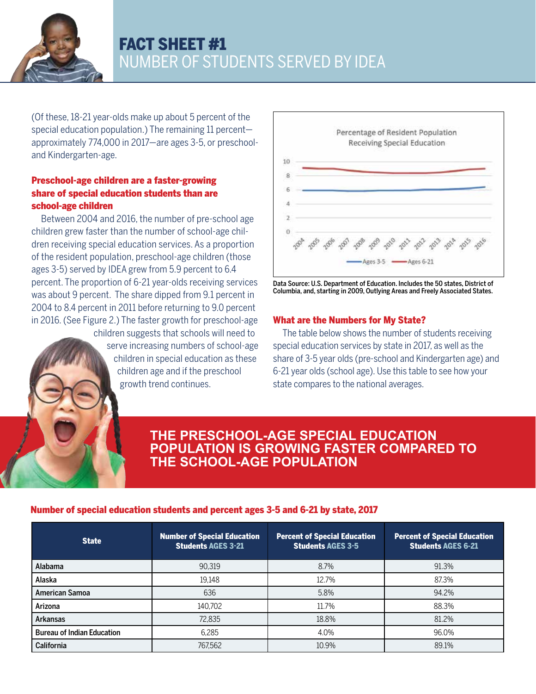

# FACT SHEET #1 NUMBER OF STUDENTS SERVED BY IDEA

(Of these, 18-21 year-olds make up about 5 percent of the special education population.) The remaining 11 percent approximately 774,000 in 2017—are ages 3-5, or preschooland Kindergarten-age.

# Preschool-age children are a faster-growing share of special education students than are school-age children

Between 2004 and 2016, the number of pre-school age children grew faster than the number of school-age children receiving special education services. As a proportion of the resident population, preschool-age children (those ages 3-5) served by IDEA grew from 5.9 percent to 6.4 percent. The proportion of 6-21 year-olds receiving services was about 9 percent. The share dipped from 9.1 percent in 2004 to 8.4 percent in 2011 before returning to 9.0 percent in 2016. (See Figure 2.) The faster growth for preschool-age children suggests that schools will need to serve increasing numbers of school-age children in special education as these

children age and if the preschool

growth trend continues.





# What are the Numbers for My State?

The table below shows the number of students receiving special education services by state in 2017, as well as the share of 3-5 year olds (pre-school and Kindergarten age) and 6-21 year olds (school age). Use this table to see how your state compares to the national averages.

# **THE PRESCHOOL-AGE SPECIAL EDUCATION POPULATION IS GROWING FASTER COMPARED TO THE SCHOOL-AGE POPULATION**

# Number of special education students and percent ages 3-5 and 6-21 by state, 2017

| <b>State</b>                      | <b>Number of Special Education</b><br><b>Students AGES 3-21</b> | <b>Percent of Special Education</b><br><b>Students AGES 3-5</b> | <b>Percent of Special Education</b><br><b>Students AGES 6-21</b> |
|-----------------------------------|-----------------------------------------------------------------|-----------------------------------------------------------------|------------------------------------------------------------------|
| Alabama                           | 90,319                                                          | 8.7%                                                            | 91.3%                                                            |
| Alaska                            | 19.148                                                          | 12.7%                                                           | 87.3%                                                            |
| <b>American Samoa</b>             | 636                                                             | 5.8%                                                            | 94.2%                                                            |
| Arizona                           | 140,702                                                         | 11.7%                                                           | 88.3%                                                            |
| Arkansas                          | 72.835                                                          | 18.8%                                                           | 81.2%                                                            |
| <b>Bureau of Indian Education</b> | 6,285                                                           | 4.0%                                                            | 96.0%                                                            |
| California                        | 767,562                                                         | 10.9%                                                           | 89.1%                                                            |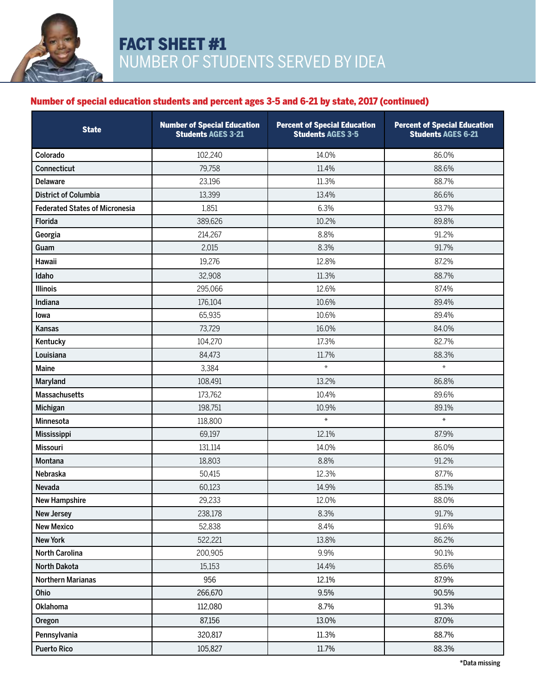

# Number of special education students and percent ages 3-5 and 6-21 by state, 2017 (continued)

| <b>State</b>                          | <b>Number of Special Education</b><br><b>Students AGES 3-21</b> | <b>Percent of Special Education</b><br><b>Students AGES 3-5</b> | <b>Percent of Special Education</b><br><b>Students AGES 6-21</b> |
|---------------------------------------|-----------------------------------------------------------------|-----------------------------------------------------------------|------------------------------------------------------------------|
| Colorado                              | 102,240                                                         | 14.0%                                                           | 86.0%                                                            |
| Connecticut                           | 79,758                                                          | 11.4%                                                           | 88.6%                                                            |
| <b>Delaware</b>                       | 23,196                                                          | 11.3%                                                           | 88.7%                                                            |
| <b>District of Columbia</b>           | 13,399                                                          | 13.4%                                                           | 86.6%                                                            |
| <b>Federated States of Micronesia</b> | 1,851                                                           | 6.3%                                                            | 93.7%                                                            |
| <b>Florida</b>                        | 389,626                                                         | 10.2%                                                           | 89.8%                                                            |
| Georgia                               | 214,267                                                         | 8.8%                                                            | 91.2%                                                            |
| Guam                                  | 2,015                                                           | 8.3%                                                            | 91.7%                                                            |
| Hawaii                                | 19,276                                                          | 12.8%                                                           | 87.2%                                                            |
| Idaho                                 | 32,908                                                          | 11.3%                                                           | 88.7%                                                            |
| <b>Illinois</b>                       | 295,066                                                         | 12.6%                                                           | 87.4%                                                            |
| Indiana                               | 176,104                                                         | 10.6%                                                           | 89.4%                                                            |
| lowa                                  | 65,935                                                          | 10.6%                                                           | 89.4%                                                            |
| Kansas                                | 73,729                                                          | 16.0%                                                           | 84.0%                                                            |
| Kentucky                              | 104,270                                                         | 17.3%                                                           | 82.7%                                                            |
| Louisiana                             | 84,473                                                          | 11.7%                                                           | 88.3%                                                            |
| Maine                                 | 3,384                                                           | $\star$                                                         | $\star$                                                          |
| Maryland                              | 108,491                                                         | 13.2%                                                           | 86.8%                                                            |
| <b>Massachusetts</b>                  | 173,762                                                         | 10.4%                                                           | 89.6%                                                            |
| Michigan                              | 198,751                                                         | 10.9%                                                           | 89.1%                                                            |
| Minnesota                             | 118,800                                                         | $\ast$                                                          | $\ast$                                                           |
| Mississippi                           | 69,197                                                          | 12.1%                                                           | 87.9%                                                            |
| <b>Missouri</b>                       | 131,114                                                         | 14.0%                                                           | 86.0%                                                            |
| Montana                               | 18,803                                                          | 8.8%                                                            | 91.2%                                                            |
| Nebraska                              | 50,415                                                          | 12.3%                                                           | 87.7%                                                            |
| Nevada                                | 60,123                                                          | 14.9%                                                           | 85.1%                                                            |
| <b>New Hampshire</b>                  | 29,233                                                          | 12.0%                                                           | 88.0%                                                            |
| <b>New Jersey</b>                     | 238,178                                                         | 8.3%                                                            | 91.7%                                                            |
| <b>New Mexico</b>                     | 52,838                                                          | 8.4%                                                            | 91.6%                                                            |
| <b>New York</b>                       | 522,221                                                         | 13.8%                                                           | 86.2%                                                            |
| North Carolina                        | 200,905                                                         | 9.9%                                                            | 90.1%                                                            |
| North Dakota                          | 15,153                                                          | 14.4%                                                           | 85.6%                                                            |
| <b>Northern Marianas</b>              | 956                                                             | 12.1%                                                           | 87.9%                                                            |
| Ohio                                  | 266,670                                                         | 9.5%                                                            | 90.5%                                                            |
| <b>Oklahoma</b>                       | 112,080                                                         | 8.7%                                                            | 91.3%                                                            |
| Oregon                                | 87,156                                                          | 13.0%                                                           | 87.0%                                                            |
| Pennsylvania                          | 320,817                                                         | 11.3%                                                           | 88.7%                                                            |
| <b>Puerto Rico</b>                    | 105,827                                                         | 11.7%                                                           | 88.3%                                                            |